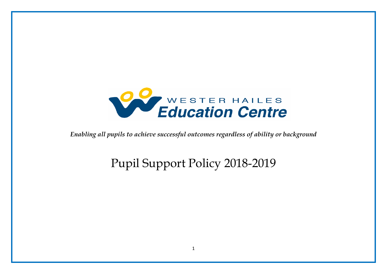

*Enabling all pupils to achieve successful outcomes regardless of ability or background* 

# Pupil Support Policy 2018-2019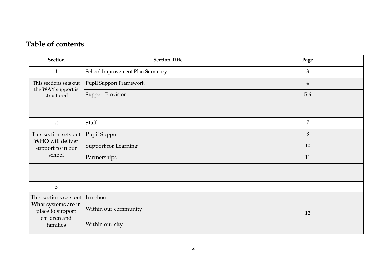# **Table of contents**

| <b>Section</b>                                                                                | <b>Section Title</b>            | Page           |
|-----------------------------------------------------------------------------------------------|---------------------------------|----------------|
| $\mathbf{1}$                                                                                  | School Improvement Plan Summary | $\mathfrak{Z}$ |
| This sections sets out<br>the WAY support is                                                  | <b>Pupil Support Framework</b>  | $\overline{4}$ |
| structured                                                                                    | <b>Support Provision</b>        | $5-6$          |
|                                                                                               |                                 |                |
| $\overline{2}$                                                                                | Staff                           | $\overline{7}$ |
| This section sets out<br>WHO will deliver<br>support to in our<br>school                      | Pupil Support                   | $8\,$          |
|                                                                                               | <b>Support for Learning</b>     | 10             |
|                                                                                               | Partnerships                    | 11             |
|                                                                                               |                                 |                |
| 3                                                                                             |                                 |                |
| This sections sets out<br>What systems are in<br>place to support<br>children and<br>families | In school                       |                |
|                                                                                               | Within our community            | 12             |
|                                                                                               | Within our city                 |                |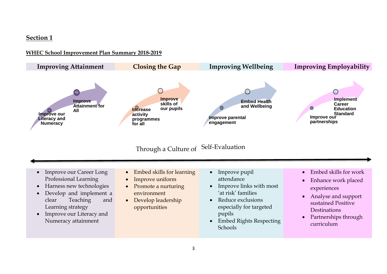### **Section 1**

#### **WHEC School Improvement Plan Summary 2018-2019**

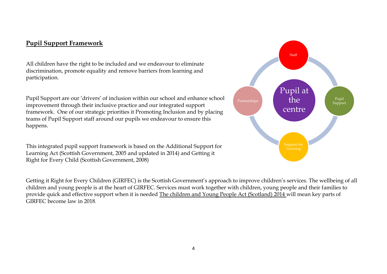# **Pupil Support Framework**

All children have the right to be included and we endeavour to eliminate discrimination, promote equality and remove barriers from learning and participation.

Pupil Support are our 'drivers' of inclusion within our school and enhance school improvement through their inclusive practice and our integrated support framework. One of our strategic priorities it Promoting Inclusion and by placing teams of Pupil Support staff around our pupils we endeavour to ensure this happens.

This integrated pupil support framework is based on the Additional Support for Learning Act (Scottish Government, 2005 and updated in 2014) and Getting it Right for Every Child (Scottish Government, 2008)

Getting it Right for Every Children (GIRFEC) is the Scottish Government's approach to improve children's services. The wellbeing of all children and young people is at the heart of GIRFEC. Services must work together with children, young people and their families to provide quick and effective support when it is needed [The children and Young People Act \(Scotland\) 2014](http://www.legislation.gov.uk/asp/2014/8/contents/enacted) will mean key parts of GIRFEC become law in 2018.

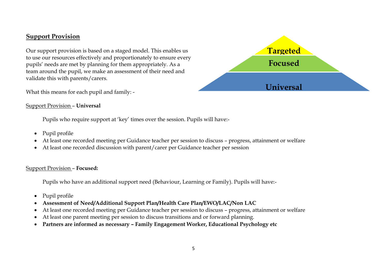### **Support Provision**

Our support provision is based on a staged model. This enables us to use our resources effectively and proportionately to ensure every pupils' needs are met by planning for them appropriately. As a team around the pupil, we make an assessment of their need and validate this with parents/carers.



#### Support Provision – **Universal**

Pupils who require support at 'key' times over the session. Pupils will have:-

- Pupil profile
- At least one recorded meeting per Guidance teacher per session to discuss progress, attainment or welfare
- At least one recorded discussion with parent/carer per Guidance teacher per session

#### Support Provision – **Focused:**

Pupils who have an additional support need (Behaviour, Learning or Family). Pupils will have:-

- Pupil profile
- **Assessment of Need/Additional Support Plan/Health Care Plan/EWO/LAC/Non LAC**
- At least one recorded meeting per Guidance teacher per session to discuss progress, attainment or welfare
- At least one parent meeting per session to discuss transitions and or forward planning.
- **Partners are informed as necessary – Family Engagement Worker, Educational Psychology etc**

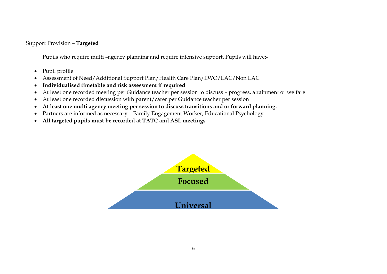#### Support Provision – **Targeted**

Pupils who require multi –agency planning and require intensive support. Pupils will have:-

- Pupil profile
- Assessment of Need/Additional Support Plan/Health Care Plan/EWO/LAC/Non LAC
- **Individualised timetable and risk assessment if required**
- At least one recorded meeting per Guidance teacher per session to discuss progress, attainment or welfare
- At least one recorded discussion with parent/carer per Guidance teacher per session
- **At least one multi agency meeting per session to discuss transitions and or forward planning.**
- Partners are informed as necessary Family Engagement Worker, Educational Psychology
- **All targeted pupils must be recorded at TATC and ASL meetings**

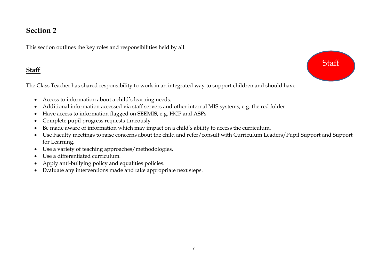# **Section 2**

This section outlines the key roles and responsibilities held by all.

# **Staff**

The Class Teacher has shared responsibility to work in an integrated way to support children and should have

- Access to information about a child's learning needs.
- Additional information accessed via staff servers and other internal MIS systems, e.g. the red folder
- Have access to information flagged on SEEMIS, e.g. HCP and ASPs
- Complete pupil progress requests timeously
- Be made aware of information which may impact on a child's ability to access the curriculum.
- Use Faculty meetings to raise concerns about the child and refer/consult with Curriculum Leaders/Pupil Support and Support for Learning.
- Use a variety of teaching approaches/methodologies.
- Use a differentiated curriculum.
- Apply anti-bullying policy and equalities policies.
- Evaluate any interventions made and take appropriate next steps.

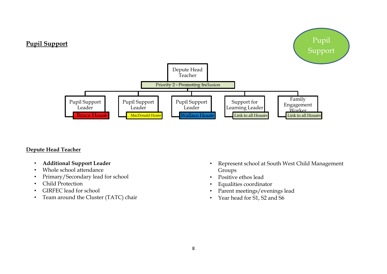

#### **Depute Head Teacher**

- **Additional Support Leader**
- Whole school attendance
- Primary/Secondary lead for school
- Child Protection
- GIRFEC lead for school
- Team around the Cluster (TATC) chair
- Represent school at South West Child Management Groups
- Positive ethos lead
- Equalities coordinator
- Parent meetings/evenings lead
- Year head for S1, S2 and S6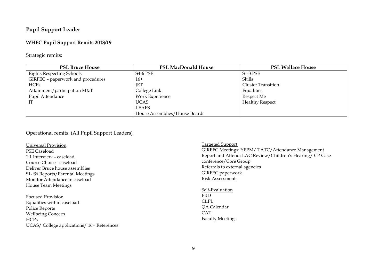#### **Pupil Support Leader**

#### **WHEC Pupil Support Remits 2018/19**

Strategic remits:

| <b>PSL Bruce House</b>            | <b>PSL MacDonald House</b>    | <b>PSL Wallace House</b>  |
|-----------------------------------|-------------------------------|---------------------------|
| <b>Rights Respecting Schools</b>  | <b>S4-6 PSE</b>               | <b>S1-3 PSE</b>           |
| GIRFEC - paperwork and procedures | $16+$                         | Skills                    |
| <b>HCPs</b>                       | JET                           | <b>Cluster Transition</b> |
| Attainment/participation M&T      | College Link                  | Equalities                |
| Pupil Attendance                  | Work Experience               | Respect Me                |
|                                   | <b>UCAS</b>                   | <b>Healthy Respect</b>    |
|                                   | <b>LEAPS</b>                  |                           |
|                                   | House Assemblies/House Boards |                           |

#### Operational remits: (All Pupil Support Leaders)

Universal Provision PSE Caseload 1:1 Interview – caseload Course Choice - caseload Deliver Bruce house assemblies S1- S6 Reports/Parental Meetings Monitor Attendance in caseload House Team Meetings

Focused Provision Equalities within caseload Police Reports Wellbeing Concern HCPs UCAS/ College applications/ 16+ References

Targeted Support GIREFC Meetings: YPPM/ TATC/Attendance Management Report and Attend: LAC Review/Children's Hearing/ CP Case conference/Core Group Referrals to external agencies GIRFEC paperwork Risk Assessments

Self-Evaluation PRD CLPL QA Calendar CAT Faculty Meetings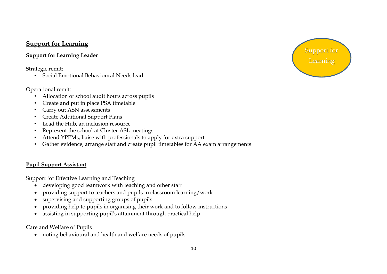# **Support for Learning**

### **Support for Learning Leader**

Strategic remit:

• Social Emotional Behavioural Needs lead

### Operational remit:

- Allocation of school audit hours across pupils
- Create and put in place PSA timetable
- Carry out ASN assessments
- Create Additional Support Plans
- Lead the Hub, an inclusion resource
- Represent the school at Cluster ASL meetings
- Attend YPPMs, liaise with professionals to apply for extra support
- Gather evidence, arrange staff and create pupil timetables for AA exam arrangements

## **Pupil Support Assistant**

Support for Effective Learning and Teaching

- developing good teamwork with teaching and other staff
- providing support to teachers and pupils in classroom learning/work
- supervising and supporting groups of pupils
- providing help to pupils in organising their work and to follow instructions
- assisting in supporting pupil's attainment through practical help

Care and Welfare of Pupils

noting behavioural and health and welfare needs of pupils

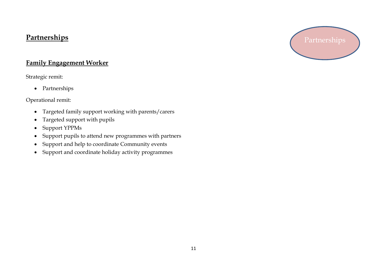# **Partnerships**

# **Family Engagement Worker**

Strategic remit:

• Partnerships

Operational remit:

- Targeted family support working with parents/carers
- Targeted support with pupils
- Support YPPMs
- Support pupils to attend new programmes with partners
- Support and help to coordinate Community events
- Support and coordinate holiday activity programmes